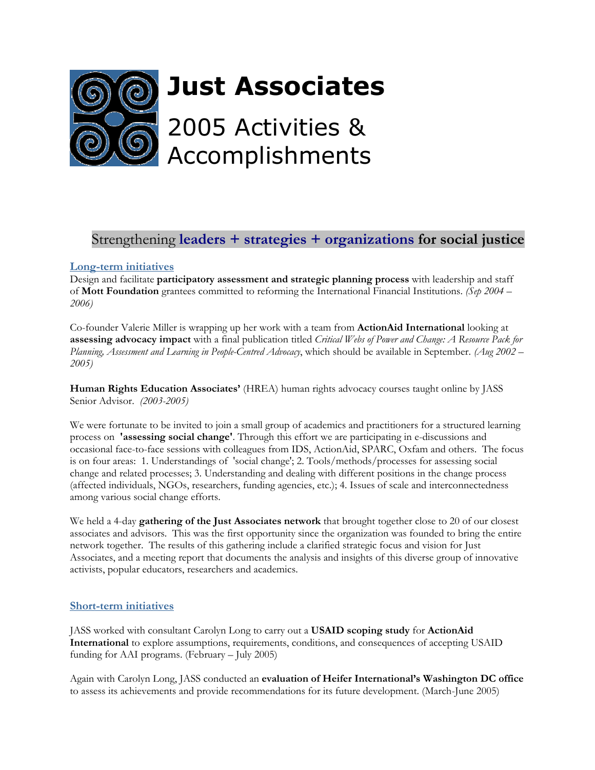

# Strengthening **leaders + strategies + organizations for social justice**

### **Long-term initiatives**

Design and facilitate **participatory assessment and strategic planning process** with leadership and staff of **Mott Foundation** grantees committed to reforming the International Financial Institutions. *(Sep 2004 – 2006)* 

Co-founder Valerie Miller is wrapping up her work with a team from **ActionAid International** looking at **assessing advocacy impact** with a final publication titled *Critical Webs of Power and Change: A Resource Pack for Planning, Assessment and Learning in People-Centred Advocacy*, which should be available in September. *(Aug 2002 – 2005)*

**Human Rights Education Associates'** (HREA) human rights advocacy courses taught online by JASS Senior Advisor. *(2003-2005)* 

We were fortunate to be invited to join a small group of academics and practitioners for a structured learning process on **'assessing social change'**. Through this effort we are participating in e-discussions and occasional face-to-face sessions with colleagues from IDS, ActionAid, SPARC, Oxfam and others. The focus is on four areas: 1. Understandings of 'social change'; 2. Tools/methods/processes for assessing social change and related processes; 3. Understanding and dealing with different positions in the change process (affected individuals, NGOs, researchers, funding agencies, etc.); 4. Issues of scale and interconnectedness among various social change efforts.

We held a 4-day **gathering of the Just Associates network** that brought together close to 20 of our closest associates and advisors. This was the first opportunity since the organization was founded to bring the entire network together. The results of this gathering include a clarified strategic focus and vision for Just Associates, and a meeting report that documents the analysis and insights of this diverse group of innovative activists, popular educators, researchers and academics.

#### **Short-term initiatives**

JASS worked with consultant Carolyn Long to carry out a **USAID scoping study** for **ActionAid International** to explore assumptions, requirements, conditions, and consequences of accepting USAID funding for AAI programs. (February – July 2005)

Again with Carolyn Long, JASS conducted an **evaluation of Heifer International's Washington DC office** to assess its achievements and provide recommendations for its future development. (March-June 2005)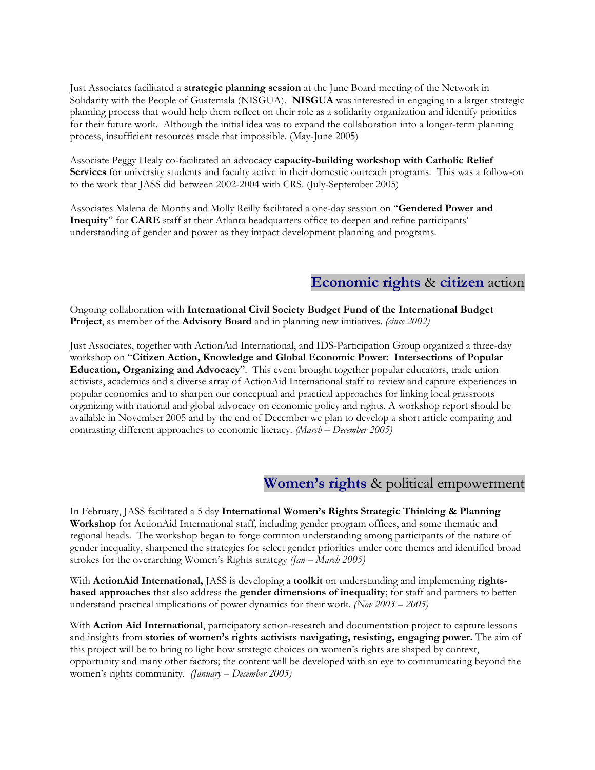Just Associates facilitated a **strategic planning session** at the June Board meeting of the Network in Solidarity with the People of Guatemala (NISGUA). **NISGUA** was interested in engaging in a larger strategic planning process that would help them reflect on their role as a solidarity organization and identify priorities for their future work. Although the initial idea was to expand the collaboration into a longer-term planning process, insufficient resources made that impossible. (May-June 2005)

Associate Peggy Healy co-facilitated an advocacy **capacity-building workshop with Catholic Relief Services** for university students and faculty active in their domestic outreach programs. This was a follow-on to the work that JASS did between 2002-2004 with CRS. (July-September 2005)

Associates Malena de Montis and Molly Reilly facilitated a one-day session on "**Gendered Power and Inequity**" for **CARE** staff at their Atlanta headquarters office to deepen and refine participants' understanding of gender and power as they impact development planning and programs.

## **Economic rights** & **citizen** action

Ongoing collaboration with **International Civil Society Budget Fund of the International Budget Project**, as member of the **Advisory Board** and in planning new initiatives. *(since 2002)* 

Just Associates, together with ActionAid International, and IDS-Participation Group organized a three-day workshop on "**Citizen Action, Knowledge and Global Economic Power: Intersections of Popular Education, Organizing and Advocacy**". This event brought together popular educators, trade union activists, academics and a diverse array of ActionAid International staff to review and capture experiences in popular economics and to sharpen our conceptual and practical approaches for linking local grassroots organizing with national and global advocacy on economic policy and rights. A workshop report should be available in November 2005 and by the end of December we plan to develop a short article comparing and contrasting different approaches to economic literacy. *(March – December 2005)* 

### **Women's rights** & political empowerment

In February, JASS facilitated a 5 day **International Women's Rights Strategic Thinking & Planning Workshop** for ActionAid International staff, including gender program offices, and some thematic and regional heads. The workshop began to forge common understanding among participants of the nature of gender inequality, sharpened the strategies for select gender priorities under core themes and identified broad strokes for the overarching Women's Rights strategy *(Jan – March 2005)*

With **ActionAid International,** JASS is developing a **toolkit** on understanding and implementing **rightsbased approaches** that also address the **gender dimensions of inequality**; for staff and partners to better understand practical implications of power dynamics for their work. *(Nov 2003 – 2005)* 

With **Action Aid International**, participatory action-research and documentation project to capture lessons and insights from **stories of women's rights activists navigating, resisting, engaging power.** The aim of this project will be to bring to light how strategic choices on women's rights are shaped by context, opportunity and many other factors; the content will be developed with an eye to communicating beyond the women's rights community. *(January – December 2005)*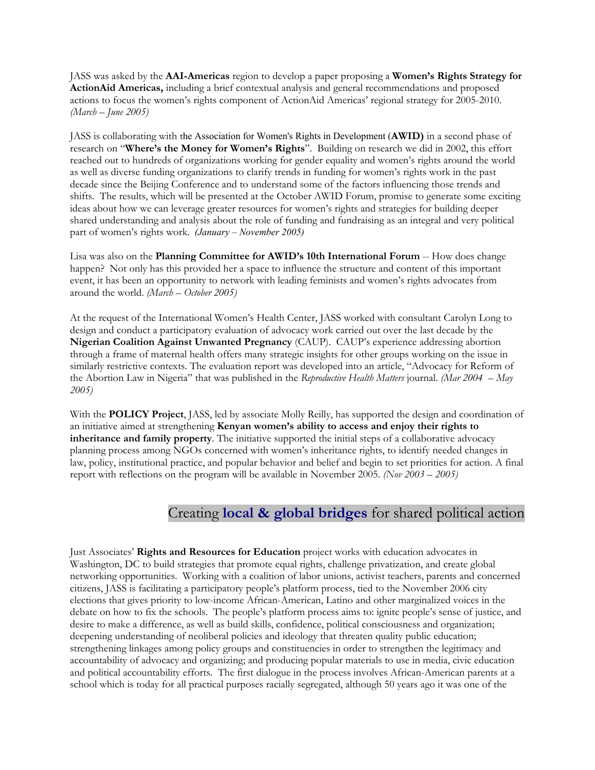JASS was asked by the **AAI-Americas** region to develop a paper proposing a **Women's Rights Strategy for ActionAid Americas,** including a brief contextual analysis and general recommendations and proposed actions to focus the women's rights component of ActionAid Americas' regional strategy for 2005-2010. *(March – June 2005)* 

JASS is collaborating with the Association for Women's Rights in Development (**AWID)** in a second phase of research on "**Where's the Money for Women's Rights**". Building on research we did in 2002, this effort reached out to hundreds of organizations working for gender equality and women's rights around the world as well as diverse funding organizations to clarify trends in funding for women's rights work in the past decade since the Beijing Conference and to understand some of the factors influencing those trends and shifts. The results, which will be presented at the October AWID Forum, promise to generate some exciting ideas about how we can leverage greater resources for women's rights and strategies for building deeper shared understanding and analysis about the role of funding and fundraising as an integral and very political part of women's rights work. *(January – November 2005)* 

Lisa was also on the **Planning Committee for AWID's 10th International Forum** -- How does change happen? Not only has this provided her a space to influence the structure and content of this important event, it has been an opportunity to network with leading feminists and women's rights advocates from around the world. *(March – October 2005)*

At the request of the International Women's Health Center, JASS worked with consultant Carolyn Long to design and conduct a participatory evaluation of advocacy work carried out over the last decade by the **Nigerian Coalition Against Unwanted Pregnancy** (CAUP). CAUP's experience addressing abortion through a frame of maternal health offers many strategic insights for other groups working on the issue in similarly restrictive contexts. The evaluation report was developed into an article, "Advocacy for Reform of the Abortion Law in Nigeria" that was published in the *Reproductive Health Matters* journal. *(Mar 2004 – May 2005)* 

With the **POLICY Project**, JASS, led by associate Molly Reilly, has supported the design and coordination of an initiative aimed at strengthening **Kenyan women's ability to access and enjoy their rights to inheritance and family property**. The initiative supported the initial steps of a collaborative advocacy planning process among NGOs concerned with women's inheritance rights, to identify needed changes in law, policy, institutional practice, and popular behavior and belief and begin to set priorities for action. A final report with reflections on the program will be available in November 2005. *(Nov 2003 – 2005)* 

## Creating **local & global bridges** for shared political action

Just Associates' **Rights and Resources for Education** project works with education advocates in Washington, DC to build strategies that promote equal rights, challenge privatization, and create global networking opportunities. Working with a coalition of labor unions, activist teachers, parents and concerned citizens, JASS is facilitating a participatory people's platform process, tied to the November 2006 city elections that gives priority to low-income African-American, Latino and other marginalized voices in the debate on how to fix the schools. The people's platform process aims to: ignite people's sense of justice, and desire to make a difference, as well as build skills, confidence, political consciousness and organization; deepening understanding of neoliberal policies and ideology that threaten quality public education; strengthening linkages among policy groups and constituencies in order to strengthen the legitimacy and accountability of advocacy and organizing; and producing popular materials to use in media, civic education and political accountability efforts. The first dialogue in the process involves African-American parents at a school which is today for all practical purposes racially segregated, although 50 years ago it was one of the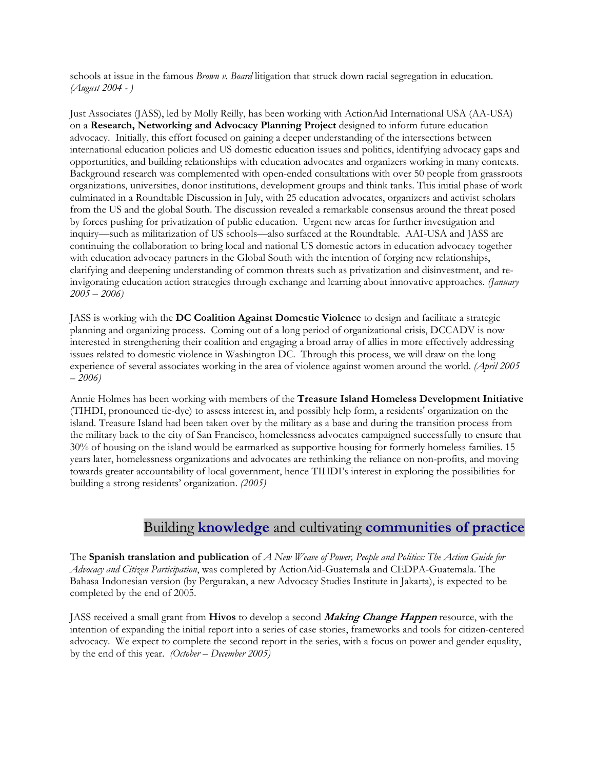schools at issue in the famous *Brown v. Board* litigation that struck down racial segregation in education. *(August 2004 - )* 

Just Associates (JASS), led by Molly Reilly, has been working with ActionAid International USA (AA-USA) on a **Research, Networking and Advocacy Planning Project** designed to inform future education advocacy. Initially, this effort focused on gaining a deeper understanding of the intersections between international education policies and US domestic education issues and politics, identifying advocacy gaps and opportunities, and building relationships with education advocates and organizers working in many contexts. Background research was complemented with open-ended consultations with over 50 people from grassroots organizations, universities, donor institutions, development groups and think tanks. This initial phase of work culminated in a Roundtable Discussion in July, with 25 education advocates, organizers and activist scholars from the US and the global South. The discussion revealed a remarkable consensus around the threat posed by forces pushing for privatization of public education. Urgent new areas for further investigation and inquiry—such as militarization of US schools—also surfaced at the Roundtable. AAI-USA and JASS are continuing the collaboration to bring local and national US domestic actors in education advocacy together with education advocacy partners in the Global South with the intention of forging new relationships, clarifying and deepening understanding of common threats such as privatization and disinvestment, and reinvigorating education action strategies through exchange and learning about innovative approaches. *(January 2005 – 2006)*

JASS is working with the **DC Coalition Against Domestic Violence** to design and facilitate a strategic planning and organizing process. Coming out of a long period of organizational crisis, DCCADV is now interested in strengthening their coalition and engaging a broad array of allies in more effectively addressing issues related to domestic violence in Washington DC. Through this process, we will draw on the long experience of several associates working in the area of violence against women around the world. *(April 2005 – 2006)* 

Annie Holmes has been working with members of the **Treasure Island Homeless Development Initiative** (TIHDI, pronounced tie-dye) to assess interest in, and possibly help form, a residents' organization on the island. Treasure Island had been taken over by the military as a base and during the transition process from the military back to the city of San Francisco, homelessness advocates campaigned successfully to ensure that 30% of housing on the island would be earmarked as supportive housing for formerly homeless families. 15 years later, homelessness organizations and advocates are rethinking the reliance on non-profits, and moving towards greater accountability of local government, hence TIHDI's interest in exploring the possibilities for building a strong residents' organization. *(2005)*

## Building **knowledge** and cultivating **communities of practice**

The **Spanish translation and publication** of *A New Weave of Power, People and Politics: The Action Guide for Advocacy and Citizen Participation*, was completed by ActionAid-Guatemala and CEDPA-Guatemala. The Bahasa Indonesian version (by Pergurakan, a new Advocacy Studies Institute in Jakarta), is expected to be completed by the end of 2005.

JASS received a small grant from **Hivos** to develop a second **Making Change Happen** resource, with the intention of expanding the initial report into a series of case stories, frameworks and tools for citizen-centered advocacy. We expect to complete the second report in the series, with a focus on power and gender equality, by the end of this year. *(October – December 2005)*